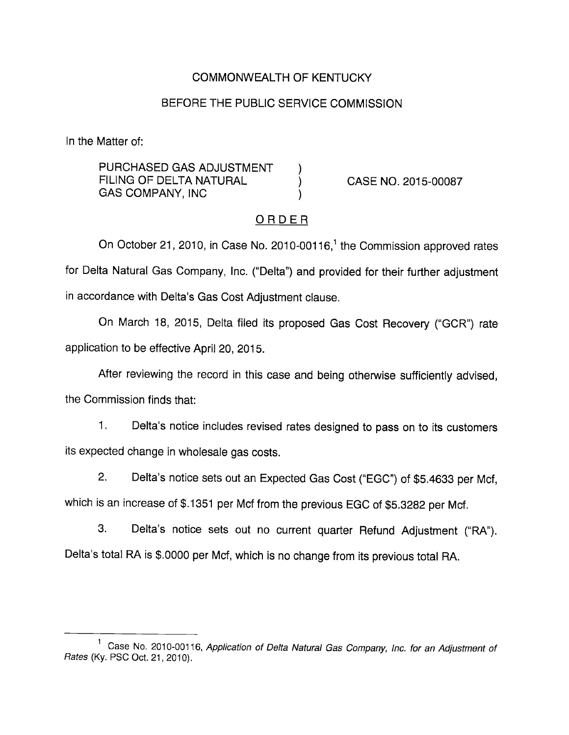## COMMONWEALTH OF KENTUCKY

## BEFORE THE PUBLIC SERVICE COMMISSION

In the Matter of:

PURCHASED GAS ADJUSTMENT ) FILING OF DELTA NATURAL (CASE NO. 2015-00087 GAS COMPANY, INC

### ORDER

On October 21, 2010, in Case No. 2010-00116,<sup>1</sup> the Commission approved rates for Delta Natural Gas Company, Inc. ("Delta") and provided for their further adjustment in accordance with Delta's Gas Cost Adjustment clause.

On March 18, 2015, Delta filed its proposed Gas Cost Recovery ("GCR") rate application to be effective April 20, 2015.

After reviewing the record in this case and being otherwise sufficiently advised, the Commission finds that:

1. Delta's notice includes revised rates designed to pass on to its customers its expected change in wholesale gas costs.

2. Delta's notice sets out an Expected Gas Cost ("EGC") of \$5.4633 per Mcf, which is an increase of \$.1351 per Mcf from the previous EGC of \$5.3282 per Mcf.

3. Delta's notice sets out no current quarter Refund Adjustment ("RA"). Delta's total RA is \$.0000 per Mcf, which is no change from its previous total RA.

<sup>&</sup>lt;sup>1</sup> Case No. 2010-00116, Application of Delta Natural Gas Company, Inc. for an Adjustment of Rates (Ky. PSC Oct. 21, 2010).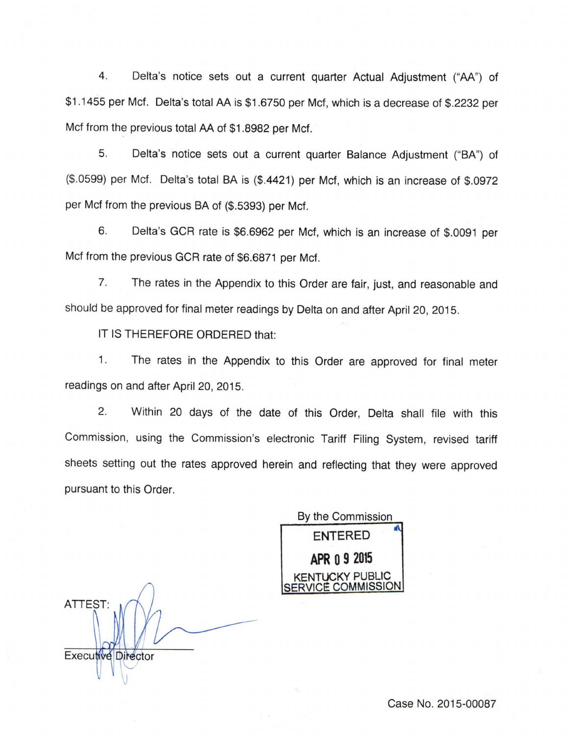4. Delta's notice sets out a current quarter Actual Adjustment ("AA") of \$1.1455 per Met. Delta's total AA is \$1.6750 per Met, which is a decrease of \$.2232 per Mcf from the previous total AA of \$1.8982 per Mcf.

5. Delta's notice sets out a current quarter Balance Adjustment ("BA") of (\$.0599) per Mcf. Delta's total BA is (\$.4421) per Mcf, which is an increase of \$.0972 per Mcf from the previous BA of (\$.5393) per Mcf.

6. Delta's GCR rate is \$6.6962 per Mcf, which is an increase of \$.0091 per Mcf from the previous GCR rate of \$6.6871 per Mcf.

7. The rates in the Appendix to this Order are fair, just, and reasonable and should be approved for final meter readings by Delta on and after April 20, 2015.

IT IS THEREFORE ORDERED that:

1. The rates in the Appendix to this Order are approved for final meter readings on and after April 20, 2015.

2. Within 20 days of the date of this Order, Delta shall file with this Commission, using the Commission's electronic Tariff Filing System, revised tariff sheets setting out the rates approved herein and reflecting that they were approved pursuant to this Order.

By the Commission ENTERED APR 0 9 2015 A CKY PUBLIC SERVICE COMMISSION

ATTEST: **Executive Director** 

Case No. 2015-00087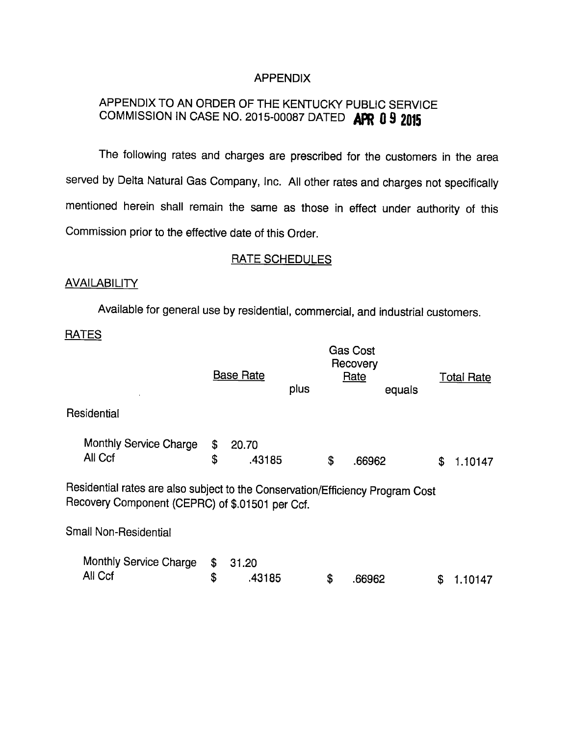## APPENDIX

# APPENDIX TO AN ORDER OF THE KENTUCKY PUBLIC SERVICE COMMISSION IN CASE NO. 2015-00087 DATED APR 0 9 2015

The following rates and charges are prescribed for the customers in the area served by Delta Natural Gas Company, Inc. All other rates and charges not specifically mentioned herein shall remain the same as those in effect under authority of this Commission prior to the effective date of this Order.

#### RATE SCHEDULES

#### **AVAILABILITY**

Available for general use by residential, commercial, and industrial customers.

**RATES** 

|                                                                                                                                   | <b>Base Rate</b>            | <b>Total Rate</b> |        |               |
|-----------------------------------------------------------------------------------------------------------------------------------|-----------------------------|-------------------|--------|---------------|
|                                                                                                                                   |                             | plus              | equals |               |
| Residential                                                                                                                       |                             |                   |        |               |
| Monthly Service Charge<br>All Ccf                                                                                                 | \$<br>20.70<br>\$<br>.43185 | \$                | .66962 | \$<br>1.10147 |
| Residential rates are also subject to the Conservation/Efficiency Program Cost<br>Recovery Component (CEPRC) of \$.01501 per Ccf. |                             |                   |        |               |
| Small Non-Residential                                                                                                             |                             |                   |        |               |
| Monthly Service Charge<br>All Ccf                                                                                                 | \$<br>31.20<br>\$<br>.43185 | \$                | .66962 | S<br>1.10147  |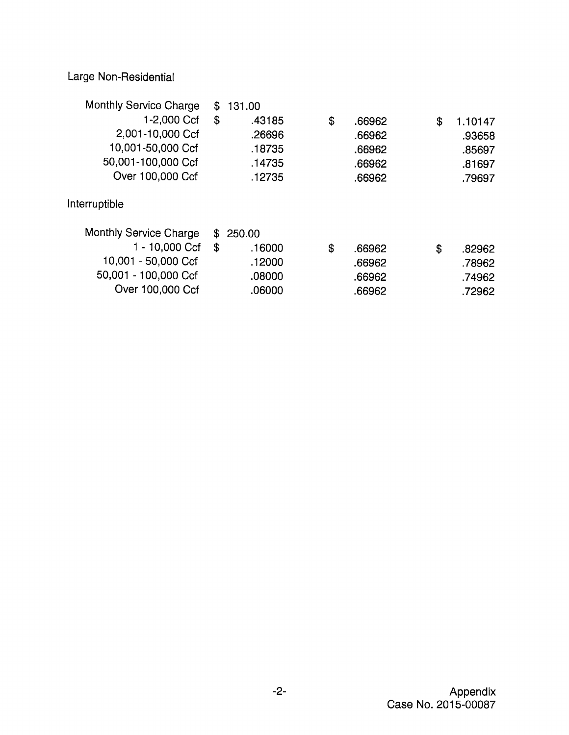Large Non-Residential

| Monthly Service Charge | \$<br>131.00 |              |               |
|------------------------|--------------|--------------|---------------|
| 1-2,000 Ccf            | \$<br>.43185 | \$<br>.66962 | \$<br>1.10147 |
| 2,001-10,000 Ccf       | .26696       | .66962       | .93658        |
| 10,001-50,000 Ccf      | .18735       | .66962       | .85697        |
| 50,001-100,000 Ccf     | .14735       | .66962       | .81697        |
| Over 100,000 Ccf       | .12735       | .66962       | .79697        |
| Interruptible          |              |              |               |
| Monthly Service Charge | \$250.00     |              |               |
| 1 - 10,000 Ccf         | \$<br>.16000 | \$<br>.66962 | \$<br>.82962  |
| 10,001 - 50,000 Ccf    | .12000       | .66962       | .78962        |
| 50,001 - 100,000 Ccf   | .08000       | .66962       | .74962        |
| Over 100,000 Ccf       | .06000       | .66962       | .72962        |
|                        |              |              |               |